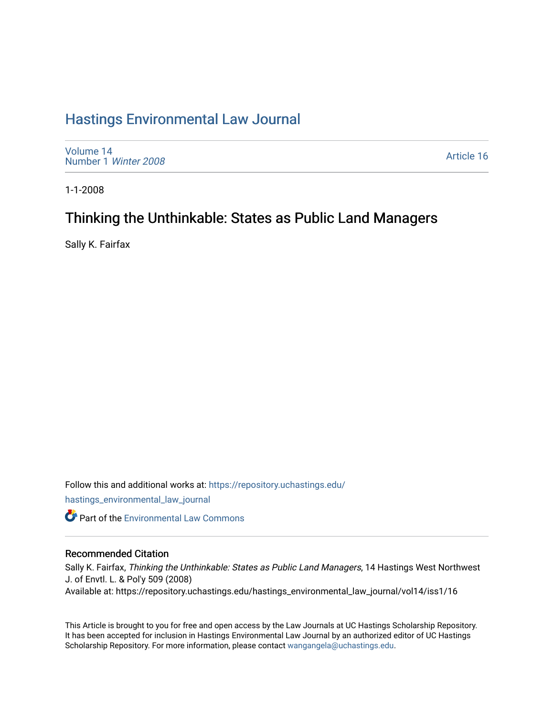# [Hastings Environmental Law Journal](https://repository.uchastings.edu/hastings_environmental_law_journal)

[Volume 14](https://repository.uchastings.edu/hastings_environmental_law_journal/vol14) [Number 1](https://repository.uchastings.edu/hastings_environmental_law_journal/vol14/iss1) Winter 2008

[Article 16](https://repository.uchastings.edu/hastings_environmental_law_journal/vol14/iss1/16) 

1-1-2008

# Thinking the Unthinkable: States as Public Land Managers

Sally K. Fairfax

Follow this and additional works at: [https://repository.uchastings.edu/](https://repository.uchastings.edu/hastings_environmental_law_journal?utm_source=repository.uchastings.edu%2Fhastings_environmental_law_journal%2Fvol14%2Fiss1%2F16&utm_medium=PDF&utm_campaign=PDFCoverPages) [hastings\\_environmental\\_law\\_journal](https://repository.uchastings.edu/hastings_environmental_law_journal?utm_source=repository.uchastings.edu%2Fhastings_environmental_law_journal%2Fvol14%2Fiss1%2F16&utm_medium=PDF&utm_campaign=PDFCoverPages) 

**C** Part of the [Environmental Law Commons](http://network.bepress.com/hgg/discipline/599?utm_source=repository.uchastings.edu%2Fhastings_environmental_law_journal%2Fvol14%2Fiss1%2F16&utm_medium=PDF&utm_campaign=PDFCoverPages)

# Recommended Citation

Sally K. Fairfax, Thinking the Unthinkable: States as Public Land Managers, 14 Hastings West Northwest J. of Envtl. L. & Pol'y 509 (2008) Available at: https://repository.uchastings.edu/hastings\_environmental\_law\_journal/vol14/iss1/16

This Article is brought to you for free and open access by the Law Journals at UC Hastings Scholarship Repository. It has been accepted for inclusion in Hastings Environmental Law Journal by an authorized editor of UC Hastings Scholarship Repository. For more information, please contact [wangangela@uchastings.edu.](mailto:wangangela@uchastings.edu)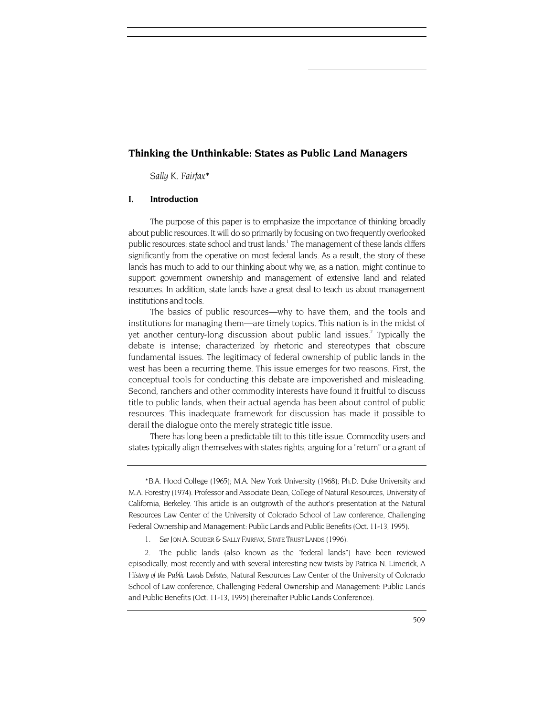# **Thinking the Unthinkable: States as Public Land Managers**

 *Sally K. Fairfax\** 

## **I. Introduction**

The purpose of this paper is to emphasize the importance of thinking broadly about public resources. It will do so primarily by focusing on two frequently overlooked public resources; state school and trust lands.<sup>1</sup> The management of these lands differs significantly from the operative on most federal lands. As a result, the story of these lands has much to add to our thinking about why we, as a nation, might continue to support government ownership and management of extensive land and related resources. In addition, state lands have a great deal to teach us about management institutions and tools.

The basics of public resources—why to have them, and the tools and institutions for managing them—are timely topics. This nation is in the midst of yet another century-long discussion about public land issues.<sup>2</sup> Typically the debate is intense; characterized by rhetoric and stereotypes that obscure fundamental issues. The legitimacy of federal ownership of public lands in the west has been a recurring theme. This issue emerges for two reasons. First, the conceptual tools for conducting this debate are impoverished and misleading. Second, ranchers and other commodity interests have found it fruitful to discuss title to public lands, when their actual agenda has been about control of public resources. This inadequate framework for discussion has made it possible to derail the dialogue onto the merely strategic title issue.

There has long been a predictable tilt to this title issue. Commodity users and states typically align themselves with states rights, arguing for a "return" or a grant of

<span id="page-1-1"></span>2. The public lands (also known as the "federal lands") have been reviewed episodically, most recently and with several interesting new twists by Patrica N. Limerick, *A History of the Public Lands Debates*, Natural Resources Law Center of the University of Colorado School of Law conference, Challenging Federal Ownership and Management: Public Lands and Public Benefits (Oct. 11-13, 1995) (hereinafter Public Lands Conference).

<span id="page-1-0"></span><sup>\*</sup>B.A. Hood College (1965); M.A. New York University (1968); Ph.D. Duke University and M.A. Forestry (1974). Professor and Associate Dean, College of Natural Resources, University of California, Berkeley. This article is an outgrowth of the author's presentation at the Natural Resources Law Center of the University of Colorado School of Law conference, Challenging Federal Ownership and Management: Public Lands and Public Benefits (Oct. 11-13, 1995).

<sup>1</sup>*. See* JON A. SOUDER & SALLY FAIRFAX, STATE TRUST LANDS (1996).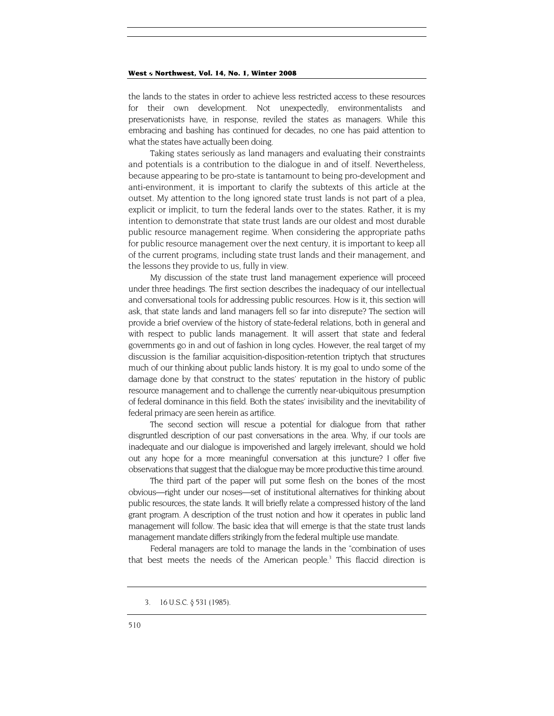the lands to the states in order to achieve less restricted access to these resources for their own development. Not unexpectedly, environmentalists and preservationists have, in response, reviled the states as managers. While this embracing and bashing has continued for decades, no one has paid attention to what the states have actually been doing.

Taking states seriously as land managers and evaluating their constraints and potentials is a contribution to the dialogue in and of itself. Nevertheless, because appearing to be pro-state is tantamount to being pro-development and anti-environment, it is important to clarify the subtexts of this article at the outset. My attention to the long ignored state trust lands is not part of a plea, explicit or implicit, to turn the federal lands over to the states. Rather, it is my intention to demonstrate that state trust lands are our oldest and most durable public resource management regime. When considering the appropriate paths for public resource management over the next century, it is important to keep all of the current programs, including state trust lands and their management, and the lessons they provide to us, fully in view.

My discussion of the state trust land management experience will proceed under three headings. The first section describes the inadequacy of our intellectual and conversational tools for addressing public resources. How is it, this section will ask, that state lands and land managers fell so far into disrepute? The section will provide a brief overview of the history of state-federal relations, both in general and with respect to public lands management. It will assert that state and federal governments go in and out of fashion in long cycles. However, the real target of my discussion is the familiar acquisition-disposition-retention triptych that structures much of our thinking about public lands history. It is my goal to undo some of the damage done by that construct to the states' reputation in the history of public resource management and to challenge the currently near-ubiquitous presumption of federal dominance in this field. Both the states' invisibility and the inevitability of federal primacy are seen herein as artifice.

The second section will rescue a potential for dialogue from that rather disgruntled description of our past conversations in the area. Why, if our tools are inadequate and our dialogue is impoverished and largely irrelevant, should we hold out any hope for a more meaningful conversation at this juncture? I offer five observations that suggest that the dialogue may be more productive this time around.

The third part of the paper will put some flesh on the bones of the most obvious—right under our noses—set of institutional alternatives for thinking about public resources, the state lands. It will briefly relate a compressed history of the land grant program. A description of the trust notion and how it operates in public land management will follow. The basic idea that will emerge is that the state trust lands management mandate differs strikingly from the federal multiple use mandate.

Federal managers are told to manage the lands in the "combination of uses that best meets the needs of the American people.<sup>3</sup> This flaccid direction is

<span id="page-2-0"></span><sup>3. 16</sup> U.S.C. § 531 (1985).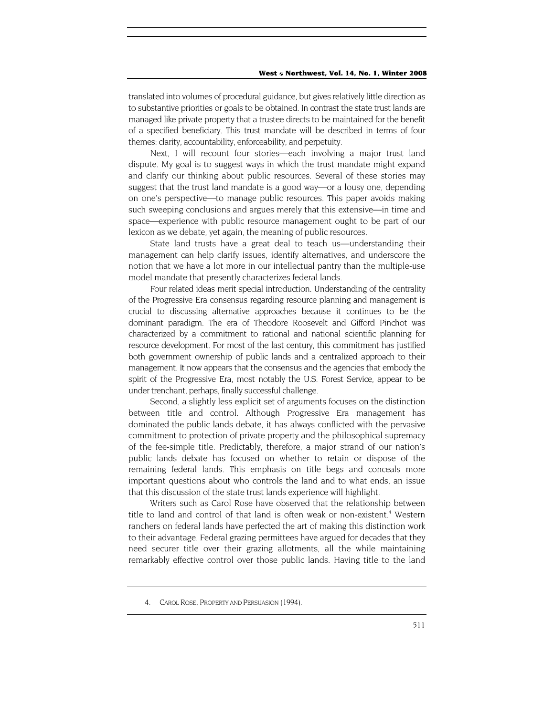translated into volumes of procedural guidance, but gives relatively little direction as to substantive priorities or goals to be obtained. In contrast the state trust lands are managed like private property that a trustee directs to be maintained for the benefit of a specified beneficiary. This trust mandate will be described in terms of four themes: clarity, accountability, enforceability, and perpetuity.

Next, I will recount four stories—each involving a major trust land dispute. My goal is to suggest ways in which the trust mandate might expand and clarify our thinking about public resources. Several of these stories may suggest that the trust land mandate is a good way—or a lousy one, depending on one's perspective—to manage public resources. This paper avoids making such sweeping conclusions and argues merely that this extensive—in time and space—experience with public resource management ought to be part of our lexicon as we debate, yet again, the meaning of public resources.

State land trusts have a great deal to teach us—understanding their management can help clarify issues, identify alternatives, and underscore the notion that we have a lot more in our intellectual pantry than the multiple-use model mandate that presently characterizes federal lands.

Four related ideas merit special introduction. Understanding of the centrality of the Progressive Era consensus regarding resource planning and management is crucial to discussing alternative approaches because it continues to be the dominant paradigm. The era of Theodore Roosevelt and Gifford Pinchot was characterized by a commitment to rational and national scientific planning for resource development. For most of the last century, this commitment has justified both government ownership of public lands and a centralized approach to their management. It now appears that the consensus and the agencies that embody the spirit of the Progressive Era, most notably the U.S. Forest Service, appear to be under trenchant, perhaps, finally successful challenge.

Second, a slightly less explicit set of arguments focuses on the distinction between title and control. Although Progressive Era management has dominated the public lands debate, it has always conflicted with the pervasive commitment to protection of private property and the philosophical supremacy of the fee-simple title. Predictably, therefore, a major strand of our nation's public lands debate has focused on whether to retain or dispose of the remaining federal lands. This emphasis on title begs and conceals more important questions about who controls the land and to what ends, an issue that this discussion of the state trust lands experience will highlight.

Writers such as Carol Rose have observed that the relationship between title to land and control of that land is often weak or non-existent.<sup>[4](#page-3-0)</sup> Western ranchers on federal lands have perfected the art of making this distinction work to their advantage. Federal grazing permittees have argued for decades that they need securer title over their grazing allotments, all the while maintaining remarkably effective control over those public lands. Having title to the land

<span id="page-3-0"></span><sup>4.</sup> CAROL ROSE, PROPERTY AND PERSUASION (1994).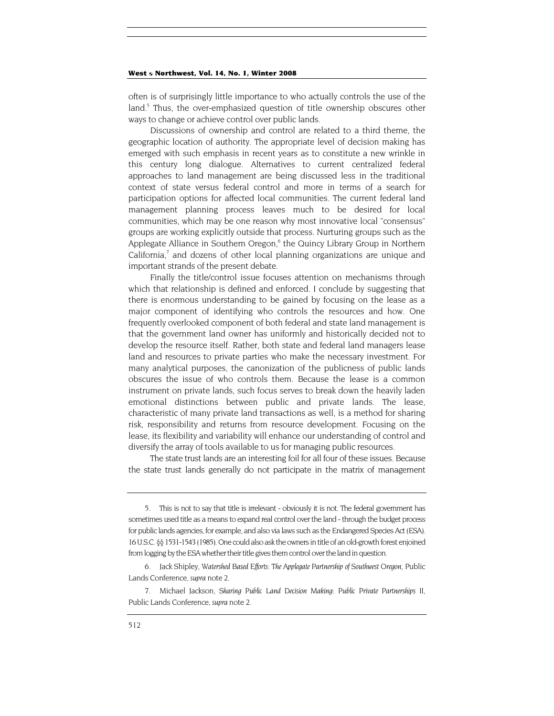often is of surprisingly little importance to who actually controls the use of the land.<sup>5</sup> Thus, the over-emphasized question of title ownership obscures other ways to change or achieve control over public lands.

Discussions of ownership and control are related to a third theme, the geographic location of authority. The appropriate level of decision making has emerged with such emphasis in recent years as to constitute a new wrinkle in this century long dialogue. Alternatives to current centralized federal approaches to land management are being discussed less in the traditional context of state versus federal control and more in terms of a search for participation options for affected local communities. The current federal land management planning process leaves much to be desired for local communities, which may be one reason why most innovative local "consensus" groups are working explicitly outside that process. Nurturing groups such as the Applegate Alliance in Southern Oregon,<sup>6</sup> the Quincy Library Group in Northern California, $^7$  and dozens of other local planning organizations are unique and important strands of the present debate.

Finally the title/control issue focuses attention on mechanisms through which that relationship is defined and enforced. I conclude by suggesting that there is enormous understanding to be gained by focusing on the lease as a major component of identifying who controls the resources and how. One frequently overlooked component of both federal and state land management is that the government land owner has uniformly and historically decided not to develop the resource itself. Rather, both state and federal land managers lease land and resources to private parties who make the necessary investment. For many analytical purposes, the canonization of the publicness of public lands obscures the issue of who controls them. Because the lease is a common instrument on private lands, such focus serves to break down the heavily laden emotional distinctions between public and private lands. The lease, characteristic of many private land transactions as well, is a method for sharing risk, responsibility and returns from resource development. Focusing on the lease, its flexibility and variability will enhance our understanding of control and diversify the array of tools available to us for managing public resources.

The state trust lands are an interesting foil for all four of these issues. Because the state trust lands generally do not participate in the matrix of management

<span id="page-4-0"></span><sup>5.</sup> This is not to say that title is irrelevant - obviously it is not. The federal government has sometimes used title as a means to expand real control over the land - through the budget process for public lands agencies, for example, and also via laws such as the Endangered Species Act (ESA). 16 U.S.C. §§ 1531-1543 (1985). One could also ask the owners in title of an old-growth forest enjoined from logging by the ESA whether their title gives them control over the land in question.

<span id="page-4-1"></span><sup>6.</sup> Jack Shipley, *Watershed Based Efforts: The Applegate Partnership of Southwest Oregon*, Public Lands Conference, *supra* note 2.

<span id="page-4-2"></span><sup>7.</sup> Michael Jackson, *Sharing Public Land Decision Making: Public Private Partnerships II,* Public Lands Conference, *supra* note 2.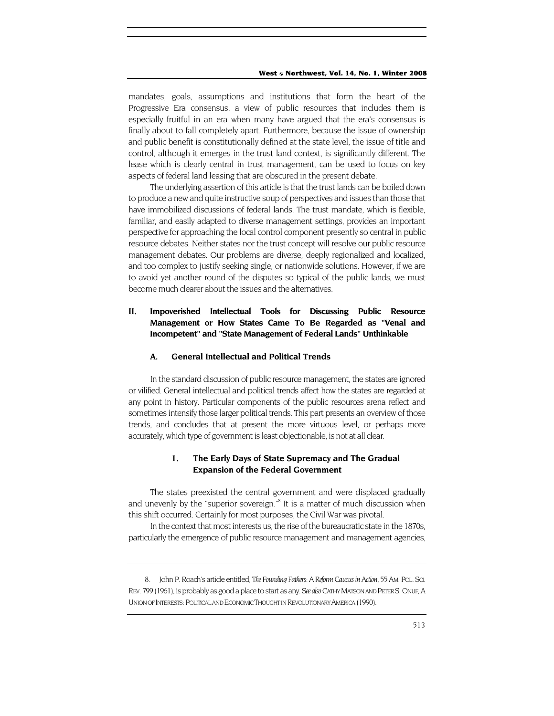mandates, goals, assumptions and institutions that form the heart of the Progressive Era consensus, a view of public resources that includes them is especially fruitful in an era when many have argued that the era's consensus is finally about to fall completely apart. Furthermore, because the issue of ownership and public benefit is constitutionally defined at the state level, the issue of title and control, although it emerges in the trust land context, is significantly different. The lease which is clearly central in trust management, can be used to focus on key aspects of federal land leasing that are obscured in the present debate.

The underlying assertion of this article is that the trust lands can be boiled down to produce a new and quite instructive soup of perspectives and issues than those that have immobilized discussions of federal lands. The trust mandate, which is flexible, familiar, and easily adapted to diverse management settings, provides an important perspective for approaching the local control component presently so central in public resource debates. Neither states nor the trust concept will resolve our public resource management debates. Our problems are diverse, deeply regionalized and localized, and too complex to justify seeking single, or nationwide solutions. However, if we are to avoid yet another round of the disputes so typical of the public lands, we must become much clearer about the issues and the alternatives.

# **II. Impoverished Intellectual Tools for Discussing Public Resource Management or How States Came To Be Regarded as "Venal and Incompetent" and "State Management of Federal Lands" Unthinkable**

## **A. General Intellectual and Political Trends**

In the standard discussion of public resource management, the states are ignored or vilified. General intellectual and political trends affect how the states are regarded at any point in history. Particular components of the public resources arena reflect and sometimes intensify those larger political trends. This part presents an overview of those trends, and concludes that at present the more virtuous level, or perhaps more accurately, which type of government is least objectionable, is not at all clear.

# **1. The Early Days of State Supremacy and The Gradual Expansion of the Federal Government**

The states preexisted the central government and were displaced gradually andunevenly by the "superior sovereign."<sup>8</sup> It is a matter of much discussion when this shift occurred. Certainly for most purposes, the Civil War was pivotal.

In the context that most interests us, the rise of the bureaucratic state in the 1870s, particularly the emergence of public resource management and management agencies,

<span id="page-5-0"></span><sup>8.</sup> John P. Roach's article entitled, *The Founding Fathers: A Reform Caucus in Action*, 55 AM. POL. SCI. REV. 799 (1961), is probably as good a place to start as any. *See also* CATHY MATSON AND PETER S. ONUF, A UNION OF INTERESTS: POLITICAL AND ECONOMIC THOUGHT IN REVOLUTIONARY AMERICA (1990).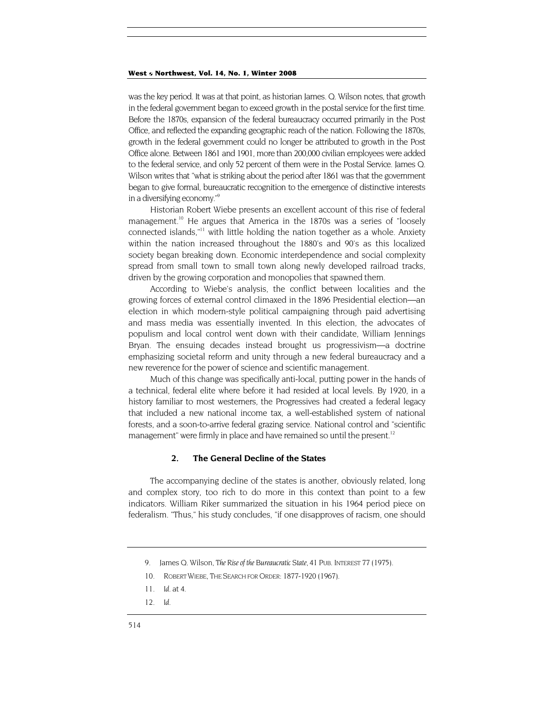was the key period. It was at that point, as historian James. Q. Wilson notes, that growth in the federal government began to exceed growth in the postal service for the first time. Before the 1870s, expansion of the federal bureaucracy occurred primarily in the Post Office, and reflected the expanding geographic reach of the nation. Following the 1870s, growth in the federal government could no longer be attributed to growth in the Post Office alone. Between 1861 and 1901, more than 200,000 civilian employees were added to the federal service, and only 52 percent of them were in the Postal Service. James Q. Wilson writes that "what is striking about the period after 1861 was that the government began to give formal, bureaucratic recognition to the emergence of distinctive interests in a diversifying economy.["9](#page-6-0)

Historian Robert Wiebe presents an excellent account of this rise of federal management.<sup>10</sup> He argues that America in the 1870s was a series of "loosely connected islands,"<sup>11</sup> with little holding the nation together as a whole. Anxiety within the nation increased throughout the 1880's and 90's as this localized society began breaking down. Economic interdependence and social complexity spread from small town to small town along newly developed railroad tracks, driven by the growing corporation and monopolies that spawned them.

According to Wiebe's analysis, the conflict between localities and the growing forces of external control climaxed in the 1896 Presidential election—an election in which modern-style political campaigning through paid advertising and mass media was essentially invented. In this election, the advocates of populism and local control went down with their candidate, William Jennings Bryan. The ensuing decades instead brought us progressivism—a doctrine emphasizing societal reform and unity through a new federal bureaucracy and a new reverence for the power of science and scientific management.

Much of this change was specifically anti-local, putting power in the hands of a technical, federal elite where before it had resided at local levels. By 1920, in a history familiar to most westerners, the Progressives had created a federal legacy that included a new national income tax, a well-established system of national forests, and a soon-to-arrive federal grazing service. National control and "scientific management" were firmly in place and have remained so until the present.<sup>12</sup>

## **2. The General Decline of the States**

The accompanying decline of the states is another, obviously related, long and complex story, too rich to do more in this context than point to a few indicators. William Riker summarized the situation in his 1964 period piece on federalism. "Thus," his study concludes, "if one disapproves of racism, one should

<span id="page-6-3"></span>12*. Id.*

<span id="page-6-0"></span><sup>9.</sup> James Q. Wilson, *The Rise of the Bureaucratic State*,41 PUB. INTEREST 77 (1975).

<span id="page-6-1"></span><sup>10.</sup> ROBERT WIEBE, THE SEARCH FOR ORDER: 1877-1920 (1967).

<span id="page-6-2"></span><sup>11</sup>*. Id.* at 4.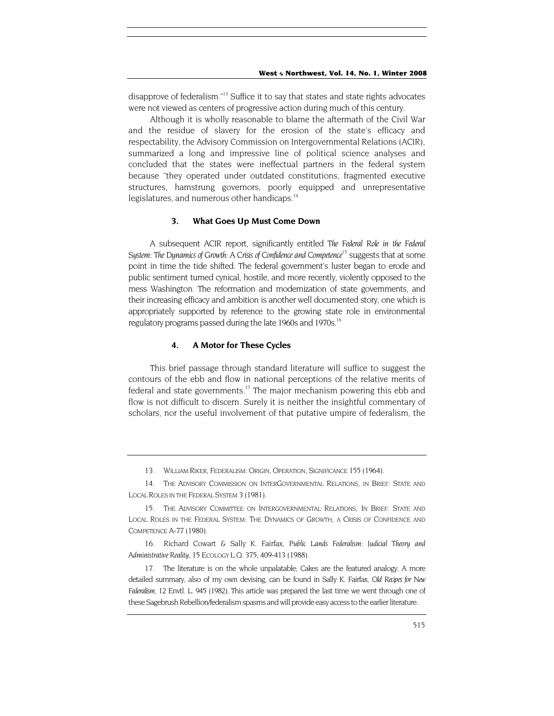disapprove of federalism."[13 S](#page-7-0)uffice it to say that states and state rights advocates were not viewed as centers of progressive action during much of this century.

Although it is wholly reasonable to blame the aftermath of the Civil War and the residue of slavery for the erosion of the state's efficacy and respectability, the Advisory Commission on Intergovernmental Relations (ACIR), summarized a long and impressive line of political science analyses and concluded that the states were ineffectual partners in the federal system because "they operated under outdated constitutions, fragmented executive structures, hamstrung governors, poorly equipped and unrepresentative legislatures, and numerous other handicaps.<sup>14</sup>

#### **3. What Goes Up Must Come Down**

A subsequent ACIR report, significantly entitled *The Federal Role in the Federal System: The Dynamics of Growth: A Crisis of Confidence and Competence*[15 s](#page-7-2)uggests that at some point in time the tide shifted. The federal government's luster began to erode and public sentiment turned cynical, hostile, and more recently, violently opposed to the mess Washington. The reformation and modernization of state governments, and their increasing efficacy and ambition is another well documented story, one which is appropriately supported by reference to the growing state role in environmental regulatory programs passed during the late 1960s and 1970s.<sup>16</sup>

## **4. A Motor for These Cycles**

This brief passage through standard literature will suffice to suggest the contours of the ebb and flow in national perceptions of the relative merits of federal and state governments.<sup>17</sup> The major mechanism powering this ebb and flow is not difficult to discern. Surely it is neither the insightful commentary of scholars, nor the useful involvement of that putative umpire of federalism, the

<sup>13.</sup> WILLIAM RIKER, FEDERALISM: ORIGIN, OPERATION, SIGNIFICANCE 155 (1964).

<span id="page-7-1"></span><span id="page-7-0"></span><sup>14.</sup> THE ADVISORY COMMISSION ON INTERGOVERNMENTAL RELATIONS, IN BRIEF: STATE AND LOCAL ROLES IN THE FEDERAL SYSTEM 3 (1981).

<span id="page-7-2"></span><sup>15.</sup> THE ADVISORY COMMITTEE ON INTERGOVERNMENTAL RELATIONS, IN BRIEF: STATE AND LOCAL ROLES IN THE FEDERAL SYSTEM: THE DYNAMICS OF GROWTH, A CRISIS OF CONFIDENCE AND COMPETENCE A-77 (1980).

<span id="page-7-3"></span><sup>16.</sup> Richard Cowart & Sally K. Fairfax, *Public Lands Federalism: Judicial Theory and Administrative Reality,* 15 ECOLOGY L.Q. 375, 409-413 (1988).

<span id="page-7-4"></span><sup>17.</sup> The literature is on the whole unpalatable; Cakes are the featured analogy. A more detailed summary, also of my own devising, can be found in Sally K. Fairfax, *Old Recipes for New Federalism*, 12 Envtl. L. 945 (1982). This article was prepared the last time we went through one of these Sagebrush Rebellion/federalism spasms and will provide easy access to the earlier literature.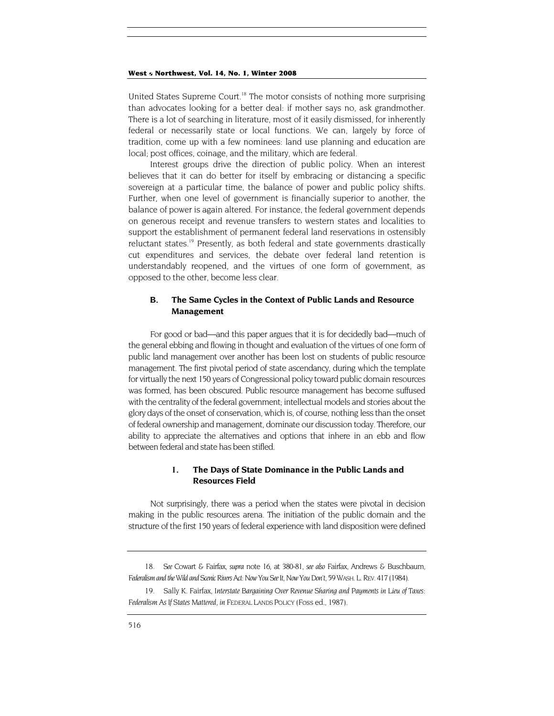United States Supreme Court.<sup>18</sup> The motor consists of nothing more surprising than advocates looking for a better deal: if mother says no, ask grandmother. There is a lot of searching in literature, most of it easily dismissed, for inherently federal or necessarily state or local functions. We can, largely by force of tradition, come up with a few nominees: land use planning and education are local; post offices, coinage, and the military, which are federal.

Interest groups drive the direction of public policy. When an interest believes that it can do better for itself by embracing or distancing a specific sovereign at a particular time, the balance of power and public policy shifts. Further, when one level of government is financially superior to another, the balance of power is again altered. For instance, the federal government depends on generous receipt and revenue transfers to western states and localities to support the establishment of permanent federal land reservations in ostensibly reluctant states.<sup>19</sup> Presently, as both federal and state governments drastically cut expenditures and services, the debate over federal land retention is understandably reopened, and the virtues of one form of government, as opposed to the other, become less clear.

# **B. The Same Cycles in the Context of Public Lands and Resource Management**

For good or bad—and this paper argues that it is for decidedly bad—much of the general ebbing and flowing in thought and evaluation of the virtues of one form of public land management over another has been lost on students of public resource management. The first pivotal period of state ascendancy, during which the template for virtually the next 150 years of Congressional policy toward public domain resources was formed, has been obscured. Public resource management has become suffused with the centrality of the federal government; intellectual models and stories about the glory days of the onset of conservation, which is, of course, nothing less than the onset of federal ownership and management, dominate our discussion today. Therefore, our ability to appreciate the alternatives and options that inhere in an ebb and flow between federal and state has been stifled.

# **1. The Days of State Dominance in the Public Lands and Resources Field**

Not surprisingly, there was a period when the states were pivotal in decision making in the public resources arena. The initiation of the public domain and the structure of the first 150 years of federal experience with land disposition were defined

<span id="page-8-0"></span><sup>18</sup>*. See* Cowart & Fairfax, *supra* note 16, at 380-81, *see also* Fairfax, Andrews & Buschbaum, *Federalism and the Wild and Scenic Rivers Act: Now You See It, Now You Don't*, 59 WASH. L. REV. 417 (1984).

<span id="page-8-1"></span><sup>19.</sup> Sally K. Fairfax, *Interstate Bargaining Over Revenue Sharing and Payments in Lieu of Taxes: Federalism As If States Mattered*, *in* FEDERAL LANDS POLICY (Foss ed., 1987).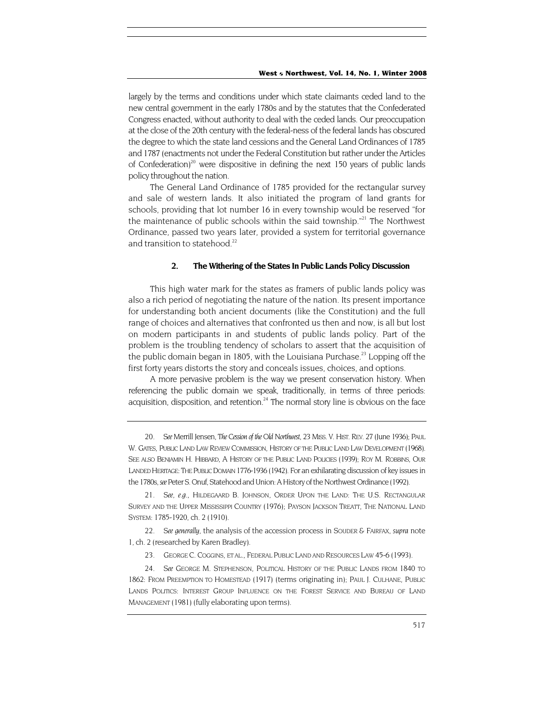largely by the terms and conditions under which state claimants ceded land to the new central government in the early 1780s and by the statutes that the Confederated Congress enacted, without authority to deal with the ceded lands. Our preoccupation at the close of the 20th century with the federal-ness of the federal lands has obscured the degree to which the state land cessions and the General Land Ordinances of 1785 and 1787 (enactments not under the Federal Constitution but rather under the Articles of Confederation)<sup>20</sup> were dispositive in defining the next 150 years of public lands policy throughout the nation.

The General Land Ordinance of 1785 provided for the rectangular survey and sale of western lands. It also initiated the program of land grants for schools, providing that lot number 16 in every township would be reserved "for the maintenance of public schools within the said township."<sup>21</sup> The Northwest Ordinance, passed two years later, provided a system for territorial governance and transition to statehood.<sup>[22](#page-9-2)</sup>

#### **2. The Withering of the States In Public Lands Policy Discussion**

This high water mark for the states as framers of public lands policy was also a rich period of negotiating the nature of the nation. Its present importance for understanding both ancient documents (like the Constitution) and the full range of choices and alternatives that confronted us then and now, is all but lost on modern participants in and students of public lands policy. Part of the problem is the troubling tendency of scholars to assert that the acquisition of the public domain began in 1805, with the Louisiana Purchase.<sup>23</sup> Lopping off the first forty years distorts the story and conceals issues, choices, and options.

A more pervasive problem is the way we present conservation history. When referencing the public domain we speak, traditionally, in terms of three periods: acquisition, disposition, and retention.<sup>24</sup> The normal story line is obvious on the face

<span id="page-9-0"></span>20*. See* Merrill Jensen, *The Cession of the Old Northwest*, 23 MISS. V. HIST. REV. 27 (June 1936); PAUL W. GATES, PUBLIC LAND LAW REVIEW COMMISSION, HISTORY OF THE PUBLIC LAND LAW DEVELOPMENT (1968). *SEE ALSO* BENJAMIN H. HIBBARD, A HISTORY OF THE PUBLIC LAND POLICIES (1939); ROY M. ROBBINS, OUR LANDED HERITAGE: THE PUBLIC DOMAIN 1776-1936 (1942). For an exhilarating discussion of key issues in the 1780s, *see* Peter S. Onuf, Statehood and Union: A History of the Northwest Ordinance (1992).

<span id="page-9-1"></span>21*. See, e.g.,* HILDEGAARD B. JOHNSON, ORDER UPON THE LAND: THE U.S. RECTANGULAR SURVEY AND THE UPPER MISSISSIPPI COUNTRY (1976); PAYSON JACKSON TREATT, THE NATIONAL LAND SYSTEM: 1785-1920, ch. 2 (1910).

<span id="page-9-2"></span>22*. See generally*, the analysis of the accession process in SOUDER & FAIRFAX, *supra* note 1, ch. 2 (researched by Karen Bradley).

<span id="page-9-3"></span>23. GEORGE C. COGGINS, ET AL., FEDERAL PUBLIC LAND AND RESOURCES LAW 45-6 (1993).

<span id="page-9-4"></span>24*. See* GEORGE M. STEPHENSON, POLITICAL HISTORY OF THE PUBLIC LANDS FROM 1840 TO 1862: FROM PREEMPTION TO HOMESTEAD (1917) (terms originating in); PAUL J. CULHANE, PUBLIC LANDS POLITICS: INTEREST GROUP INFLUENCE ON THE FOREST SERVICE AND BUREAU OF LAND MANAGEMENT (1981) (fully elaborating upon terms).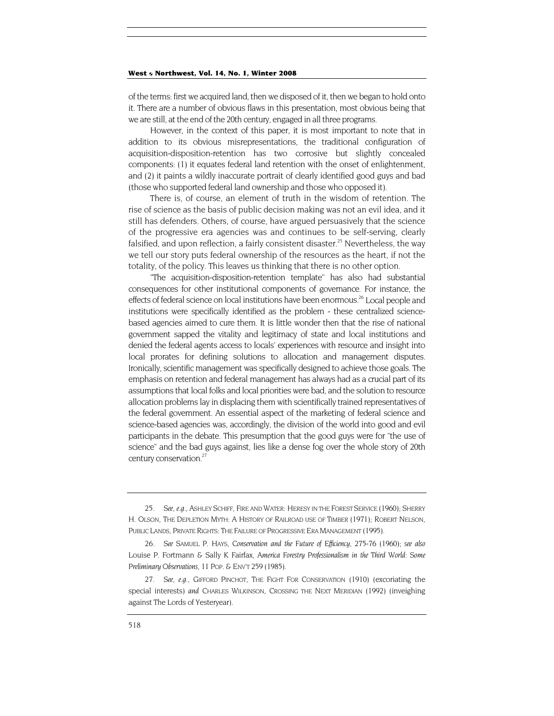of the terms: first we acquired land, then we disposed of it, then we began to hold onto it. There are a number of obvious flaws in this presentation, most obvious being that we are still, at the end of the 20th century, engaged in all three programs.

However, in the context of this paper, it is most important to note that in addition to its obvious misrepresentations, the traditional configuration of acquisition-disposition-retention has two corrosive but slightly concealed components: (1) it equates federal land retention with the onset of enlightenment, and (2) it paints a wildly inaccurate portrait of clearly identified good guys and bad (those who supported federal land ownership and those who opposed it).

There is, of course, an element of truth in the wisdom of retention. The rise of science as the basis of public decision making was not an evil idea, and it still has defenders. Others, of course, have argued persuasively that the science of the progressive era agencies was and continues to be self-serving, clearly falsified, and upon reflection, a fairly consistent disaster.<sup>25</sup> Nevertheless, the way we tell our story puts federal ownership of the resources as the heart, if not the totality, of the policy. This leaves us thinking that there is no other option.

"The acquisition-disposition-retention template" has also had substantial consequences for other institutional components of governance. For instance, the effects of federal science on local institutions have been enormous.<sup>26</sup> Local people and institutions were specifically identified as the problem - these centralized sciencebased agencies aimed to cure them. It is little wonder then that the rise of national government sapped the vitality and legitimacy of state and local institutions and denied the federal agents access to locals' experiences with resource and insight into local prorates for defining solutions to allocation and management disputes. Ironically, scientific management was specifically designed to achieve those goals. The emphasis on retention and federal management has always had as a crucial part of its assumptions that local folks and local priorities were bad, and the solution to resource allocation problems lay in displacing them with scientifically trained representatives of the federal government. An essential aspect of the marketing of federal science and science-based agencies was, accordingly, the division of the world into good and evil participants in the debate. This presumption that the good guys were for "the use of science" and the bad guys against, lies like a dense fog over the whole story of 20th century conservation.<sup>27</sup>

<span id="page-10-0"></span><sup>25</sup>*. See, e.g.,* ASHLEY SCHIFF, FIRE AND WATER: HERESY IN THE FOREST SERVICE (1960); SHERRY H. OLSON, THE DEPLETION MYTH: A HISTORY OF RAILROAD USE OF TIMBER (1971); ROBERT NELSON, PUBLIC LANDS, PRIVATE RIGHTS: THE FAILURE OF PROGRESSIVE ERA MANAGEMENT (1995).

<span id="page-10-1"></span><sup>26</sup>*. See* SAMUEL P. HAYS, *Conservation and the Future of Efficiency*, 275-76 (1960); *see also* Louise P. Fortmann & Sally K Fairfax, *America Forestry Professionalism in the Third World: Some Preliminary Observations*, 11 POP. & ENV'T 259 (1985).

<span id="page-10-2"></span><sup>27</sup>*. See, e.g.,* GIFFORD PINCHOT, THE FIGHT FOR CONSERVATION (1910) (excoriating the special interests) *and* CHARLES WILKINSON, CROSSING THE NEXT MERIDIAN (1992) (inveighing against The Lords of Yesteryear).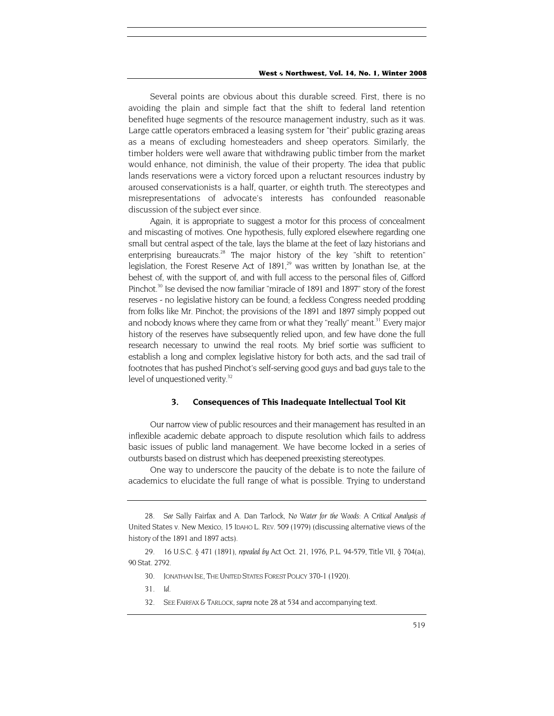Several points are obvious about this durable screed. First, there is no avoiding the plain and simple fact that the shift to federal land retention benefited huge segments of the resource management industry, such as it was. Large cattle operators embraced a leasing system for "their" public grazing areas as a means of excluding homesteaders and sheep operators. Similarly, the timber holders were well aware that withdrawing public timber from the market would enhance, not diminish, the value of their property. The idea that public lands reservations were a victory forced upon a reluctant resources industry by aroused conservationists is a half, quarter, or eighth truth. The stereotypes and misrepresentations of advocate's interests has confounded reasonable discussion of the subject ever since.

Again, it is appropriate to suggest a motor for this process of concealment and miscasting of motives. One hypothesis, fully explored elsewhere regarding one small but central aspect of the tale, lays the blame at the feet of lazy historians and enterprising bureaucrats.<sup>28</sup> The major history of the key "shift to retention" legislation, the Forest Reserve Act of  $1891<sup>29</sup>$  was written by Jonathan Ise, at the behest of, with the support of, and with full access to the personal files of, Gifford Pinchot.<sup>30</sup> Ise devised the now familiar "miracle of 1891 and 1897" story of the forest reserves - no legislative history can be found; a feckless Congress needed prodding from folks like Mr. Pinchot; the provisions of the 1891 and 1897 simply popped out and nobody knows where they came from or what they "really" meant.<sup>31</sup> Every major history of the reserves have subsequently relied upon, and few have done the full research necessary to unwind the real roots. My brief sortie was sufficient to establish a long and complex legislative history for both acts, and the sad trail of footnotes that has pushed Pinchot's self-serving good guys and bad guys tale to the level of unquestioned verity.<sup>32</sup>

## **3. Consequences of This Inadequate Intellectual Tool Kit**

Our narrow view of public resources and their management has resulted in an inflexible academic debate approach to dispute resolution which fails to address basic issues of public land management. We have become locked in a series of outbursts based on distrust which has deepened preexisting stereotypes.

One way to underscore the paucity of the debate is to note the failure of academics to elucidate the full range of what is possible. Trying to understand

<span id="page-11-4"></span>32. SEE FAIRFAX & TARLOCK, *supra* note 28 at 534 and accompanying text.

<span id="page-11-0"></span><sup>28</sup>*. See* Sally Fairfax and A. Dan Tarlock, *No Water for the Woods: A Critical Analysis of* United States v. New Mexico, 15 IDAHO L. REV. 509 (1979) (discussing alternative views of the history of the 1891 and 1897 acts).

<span id="page-11-1"></span><sup>29. 16</sup> U.S.C. § 471 (1891), *repealed by* Act Oct. 21, 1976, P.L. 94-579, Title VII, § 704(a), 90 Stat. 2792.

<span id="page-11-2"></span><sup>30.</sup> JONATHAN ISE, THE UNITED STATES FOREST POLICY 370-1 (1920).

<span id="page-11-3"></span><sup>31</sup>*. Id.*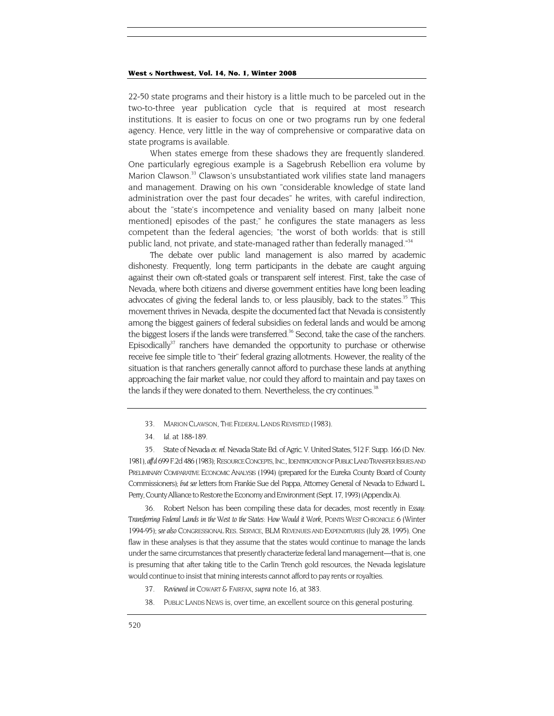22-50 state programs and their history is a little much to be parceled out in the two-to-three year publication cycle that is required at most research institutions. It is easier to focus on one or two programs run by one federal agency. Hence, very little in the way of comprehensive or comparative data on state programs is available.

When states emerge from these shadows they are frequently slandered. One particularly egregious example is a Sagebrush Rebellion era volume by Marion Clawson.<sup>33</sup> Clawson's unsubstantiated work vilifies state land managers and management. Drawing on his own "considerable knowledge of state land administration over the past four decades" he writes, with careful indirection, about the "state's incompetence and veniality based on many [albeit none mentioned] episodes of the past;" he configures the state managers as less competent than the federal agencies; "the worst of both worlds: that is still public land, not private, and state-managed rather than federally managed."<sup>34</sup>

The debate over public land management is also marred by academic dishonesty. Frequently, long term participants in the debate are caught arguing against their own oft-stated goals or transparent self interest. First, take the case of Nevada, where both citizens and diverse government entities have long been leading advocates of giving the federal lands to, or less plausibly, back to the states.<sup>35</sup> This movement thrives in Nevada, despite the documented fact that Nevada is consistently among the biggest gainers of federal subsidies on federal lands and would be among the biggest losers if the lands were transferred.<sup>36</sup> Second, take the case of the ranchers. Episodically<sup>37</sup> ranchers have demanded the opportunity to purchase or otherwise receive fee simple title to "their" federal grazing allotments. However, the reality of the situation is that ranchers generally cannot afford to purchase these lands at anything approaching the fair market value, nor could they afford to maintain and pay taxes on the lands if they were donated to them. Nevertheless, the cry continues.<sup>38</sup>

- <span id="page-12-0"></span>33. MARION CLAWSON, THE FEDERAL LANDS REVISITED (1983).
- <span id="page-12-1"></span>34*. Id.* at 188-189.

<span id="page-12-2"></span>35. State of Nevada *ex. rel.* Nevada State Bd. of Agric. V. United States, 512 F. Supp. 166 (D. Nev. 1981), *aff'd* 699 F.2d 486 (1983); RESOURCE CONCEPTS, INC., IDENTIFICATION OF PUBLIC LAND TRANSFER ISSUES AND PRELIMINARY COMPARATIVE ECONOMIC ANALYSIS (1994) (prepared for the Eureka County Board of County Commissioners); *but see* letters from Frankie Sue del Pappa, Attorney General of Nevada to Edward L. Perry, County Alliance to Restore the Economy and Environment (Sept. 17, 1993) (Appendix A).

<span id="page-12-3"></span>36. Robert Nelson has been compiling these data for decades, most recently in *Essay: Transferring Federal Lands in the West to the States: How Would it Work*, POINTS WEST CHRONICLE 6 (Winter 1994-95); *see also* CONGRESSIONAL RES. SERVICE, BLM REVENUES AND EXPENDITURES (July 28, 1995). One flaw in these analyses is that they assume that the states would continue to manage the lands under the same circumstances that presently characterize federal land management—that is, one is presuming that after taking title to the Carlin Trench gold resources, the Nevada legislature would continue to insist that mining interests cannot afford to pay rents or royalties.

- <span id="page-12-4"></span>37*. Reviewed in* COWART & FAIRFAX, *supra* note 16, at 383.
- <span id="page-12-5"></span>38. PUBLIC LANDS NEWS is, over time, an excellent source on this general posturing.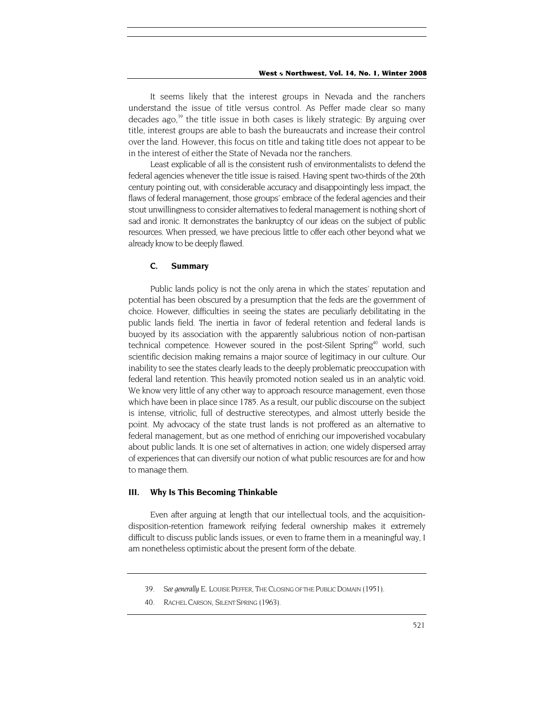It seems likely that the interest groups in Nevada and the ranchers understand the issue of title versus control. As Peffer made clear so many decades ago,<sup>39</sup> the title issue in both cases is likely strategic: By arguing over title, interest groups are able to bash the bureaucrats and increase their control over the land. However, this focus on title and taking title does not appear to be in the interest of either the State of Nevada nor the ranchers.

Least explicable of all is the consistent rush of environmentalists to defend the federal agencies whenever the title issue is raised. Having spent two-thirds of the 20th century pointing out, with considerable accuracy and disappointingly less impact, the flaws of federal management, those groups' embrace of the federal agencies and their stout unwillingness to consider alternatives to federal management is nothing short of sad and ironic. It demonstrates the bankruptcy of our ideas on the subject of public resources. When pressed, we have precious little to offer each other beyond what we already know to be deeply flawed.

#### **C. Summary**

Public lands policy is not the only arena in which the states' reputation and potential has been obscured by a presumption that the feds are the government of choice. However, difficulties in seeing the states are peculiarly debilitating in the public lands field. The inertia in favor of federal retention and federal lands is buoyed by its association with the apparently salubrious notion of non-partisan technical competence. However soured in the post-Silent Spring<sup>40</sup> world, such scientific decision making remains a major source of legitimacy in our culture. Our inability to see the states clearly leads to the deeply problematic preoccupation with federal land retention. This heavily promoted notion sealed us in an analytic void. We know very little of any other way to approach resource management, even those which have been in place since 1785. As a result, our public discourse on the subject is intense, vitriolic, full of destructive stereotypes, and almost utterly beside the point. My advocacy of the state trust lands is not proffered as an alternative to federal management, but as one method of enriching our impoverished vocabulary about public lands. It is one set of alternatives in action; one widely dispersed array of experiences that can diversify our notion of what public resources are for and how to manage them.

## **III. Why Is This Becoming Thinkable**

Even after arguing at length that our intellectual tools, and the acquisitiondisposition-retention framework reifying federal ownership makes it extremely difficult to discuss public lands issues, or even to frame them in a meaningful way, I am nonetheless optimistic about the present form of the debate.

<span id="page-13-0"></span><sup>39</sup>*. See generally* E. LOUISE PEFFER, THE CLOSING OF THE PUBLIC DOMAIN (1951).

<span id="page-13-1"></span><sup>40.</sup> RACHEL CARSON, SILENT SPRING (1963).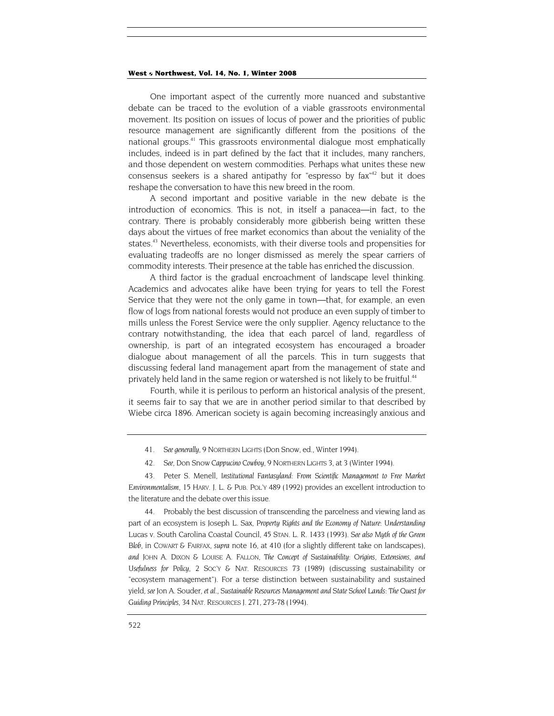One important aspect of the currently more nuanced and substantive debate can be traced to the evolution of a viable grassroots environmental movement. Its position on issues of locus of power and the priorities of public resource management are significantly different from the positions of the national groups.<sup>41</sup> This grassroots environmental dialogue most emphatically includes, indeed is in part defined by the fact that it includes, many ranchers, and those dependent on western commodities. Perhaps what unites these new consensus seekers is a shared antipathy for "espresso by fax $142}$  but it does reshape the conversation to have this new breed in the room.

A second important and positive variable in the new debate is the introduction of economics. This is not, in itself a panacea—in fact, to the contrary. There is probably considerably more gibberish being written these days about the virtues of free market economics than about the veniality of the states.<sup>43</sup> Nevertheless, economists, with their diverse tools and propensities for evaluating tradeoffs are no longer dismissed as merely the spear carriers of commodity interests. Their presence at the table has enriched the discussion.

A third factor is the gradual encroachment of landscape level thinking. Academics and advocates alike have been trying for years to tell the Forest Service that they were not the only game in town—that, for example, an even flow of logs from national forests would not produce an even supply of timber to mills unless the Forest Service were the only supplier. Agency reluctance to the contrary notwithstanding, the idea that each parcel of land, regardless of ownership, is part of an integrated ecosystem has encouraged a broader dialogue about management of all the parcels. This in turn suggests that discussing federal land management apart from the management of state and privately held land in the same region or watershed is not likely to be fruitful.<sup>44</sup>

Fourth, while it is perilous to perform an historical analysis of the present, it seems fair to say that we are in another period similar to that described by Wiebe circa 1896. American society is again becoming increasingly anxious and

<span id="page-14-3"></span>44. Probably the best discussion of transcending the parcelness and viewing land as part of an ecosystem is Joseph L. Sax, *Property Rights and the Economy of Nature: Understanding*  Lucas v. South Carolina Coastal Council, 45 STAN. L. R. 1433 (1993). *See also Myth of the Green Blob*, in COWART & FAIRFAX, *supra* note 16, at 410 (for a slightly different take on landscapes), *and* JOHN A. DIXON & LOUISE A. FALLON, *The Concept of Sustainability: Origins, Extensions, and Usefulness for Policy*, 2 SOC'Y & NAT. RESOURCES 73 (1989) (discussing sustainability or "ecosystem management"). For a terse distinction between sustainability and sustained yield, *see* Jon A. Souder, *et al., Sustainable Resources Management and State School Lands: The Quest for Guiding Principles*, 34 NAT. RESOURCES J. 271, 273-78 (1994).

<span id="page-14-0"></span><sup>41</sup>*. See generally*, 9 NORTHERN LIGHTS (Don Snow, ed., Winter 1994).

<sup>42</sup>*. See*, Don Snow *Cappucino Cowboy*, 9 NORTHERN LIGHTS 3, at 3 (Winter 1994).

<span id="page-14-2"></span><span id="page-14-1"></span><sup>43.</sup> Peter S. Menell, *Institutional Fantasyland: From Scientific Management to Free Market Environmentalism*, 15 HARV. J. L. & PUB. POL'Y 489 (1992) provides an excellent introduction to the literature and the debate over this issue.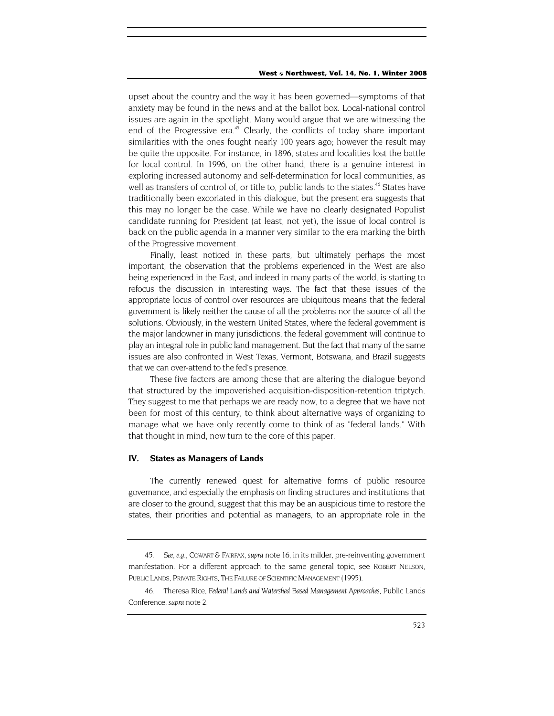upset about the country and the way it has been governed—symptoms of that anxiety may be found in the news and at the ballot box. Local-national control issues are again in the spotlight. Many would argue that we are witnessing the end of the Progressive era.<sup>45</sup> Clearly, the conflicts of today share important similarities with the ones fought nearly 100 years ago; however the result may be quite the opposite. For instance, in 1896, states and localities lost the battle for local control. In 1996, on the other hand, there is a genuine interest in exploring increased autonomy and self-determination for local communities, as well as transfers of control of, or title to, public lands to the states.<sup>46</sup> States have traditionally been excoriated in this dialogue, but the present era suggests that this may no longer be the case. While we have no clearly designated Populist candidate running for President (at least, not yet), the issue of local control is back on the public agenda in a manner very similar to the era marking the birth of the Progressive movement.

Finally, least noticed in these parts, but ultimately perhaps the most important, the observation that the problems experienced in the West are also being experienced in the East, and indeed in many parts of the world, is starting to refocus the discussion in interesting ways. The fact that these issues of the appropriate locus of control over resources are ubiquitous means that the federal government is likely neither the cause of all the problems nor the source of all the solutions. Obviously, in the western United States, where the federal government is the major landowner in many jurisdictions, the federal government will continue to play an integral role in public land management. But the fact that many of the same issues are also confronted in West Texas, Vermont, Botswana, and Brazil suggests that we can over-attend to the fed's presence.

These five factors are among those that are altering the dialogue beyond that structured by the impoverished acquisition-disposition-retention triptych. They suggest to me that perhaps we are ready now, to a degree that we have not been for most of this century, to think about alternative ways of organizing to manage what we have only recently come to think of as "federal lands." With that thought in mind, now turn to the core of this paper.

## **IV. States as Managers of Lands**

The currently renewed quest for alternative forms of public resource governance, and especially the emphasis on finding structures and institutions that are closer to the ground, suggest that this may be an auspicious time to restore the states, their priorities and potential as managers, to an appropriate role in the

<span id="page-15-0"></span><sup>45</sup>*. See, e.g.,* COWART & FAIRFAX, *supra* note 16, in its milder, pre-reinventing government manifestation. For a different approach to the same general topic, see ROBERT NELSON, PUBLIC LANDS, PRIVATE RIGHTS, THE FAILURE OF SCIENTIFIC MANAGEMENT (1995).

<span id="page-15-1"></span><sup>46.</sup> Theresa Rice, *Federal Lands and Watershed Based Management Approaches*, Public Lands Conference, *supra* note 2.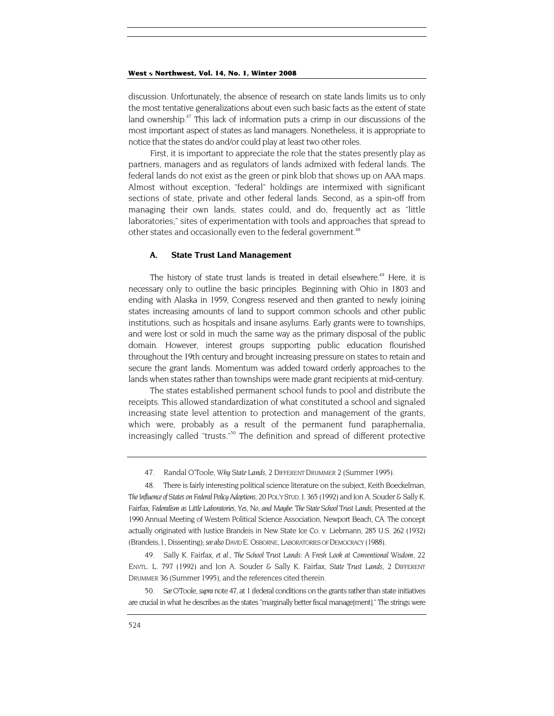<span id="page-16-3"></span>discussion. Unfortunately, the absence of research on state lands limits us to only the most tentative generalizations about even such basic facts as the extent of state land ownership.<sup>47</sup> This lack of information puts a crimp in our discussions of the most important aspect of states as land managers. Nonetheless, it is appropriate to notice that the states do and/or could play at least two other roles.

First, it is important to appreciate the role that the states presently play as partners, managers and as regulators of lands admixed with federal lands. The federal lands do not exist as the green or pink blob that shows up on AAA maps. Almost without exception, "federal" holdings are intermixed with significant sections of state, private and other federal lands. Second, as a spin-off from managing their own lands, states could, and do, frequently act as "little laboratories;" sites of experimentation with tools and approaches that spread to other states and occasionally even to the federal government.<sup>48</sup>

#### **A. State Trust Land Management**

The history of state trust lands is treated in detail elsewhere.<sup>49</sup> Here, it is necessary only to outline the basic principles. Beginning with Ohio in 1803 and ending with Alaska in 1959, Congress reserved and then granted to newly joining states increasing amounts of land to support common schools and other public institutions, such as hospitals and insane asylums. Early grants were to townships, and were lost or sold in much the same way as the primary disposal of the public domain. However, interest groups supporting public education flourished throughout the 19th century and brought increasing pressure on states to retain and secure the grant lands. Momentum was added toward orderly approaches to the lands when states rather than townships were made grant recipients at mid-century.

The states established permanent school funds to pool and distribute the receipts. This allowed standardization of what constituted a school and signaled increasing state level attention to protection and management of the grants, which were, probably as a result of the permanent fund paraphernalia, increasingly called "trusts."<sup>50</sup> The definition and spread of different protective

47. Randal O'Toole, *Why State Lands*, 2 DIFFERENT DRUMMER 2 (Summer 1995).

<span id="page-16-1"></span><span id="page-16-0"></span>48. There is fairly interesting political science literature on the subject, Keith Boeckelman, *The Influence of States on Federal Policy Adoptions*, 20 POL'Y STUD. J. 365 (1992) and Jon A. Souder & Sally K. Fairfax, *Federalism as Little Laboratories, Yes, No, and Maybe: The State School Trust Lands*, Presented at the 1990 Annual Meeting of Western Political Science Association, Newport Beach, CA. The concept actually originated with Justice Brandeis in New State Ice Co. v. Liebmann, 285 U.S. 262 (1932) (Brandeis, J., Dissenting); *see also* DAVID E. OSBORNE, LABORATORIES OF DEMOCRACY (1988).

<span id="page-16-2"></span>49. Sally K. Fairfax, *et al., The School Trust Lands: A Fresh Look at Conventional Wisdom*, 22 ENVTL. L. 797 (1992) and Jon A. Souder & Sally K. Fairfax, *State Trust Lands,* 2 DIFFERENT DRUMMER 36 (Summer 1995), and the references cited therein.

50*. See* O'Toole, *supra* note 47, at 1 (federal conditions on the grants rather than state initiatives are crucial in what he describes as the states "marginally better fiscal manage[ment]." The strings were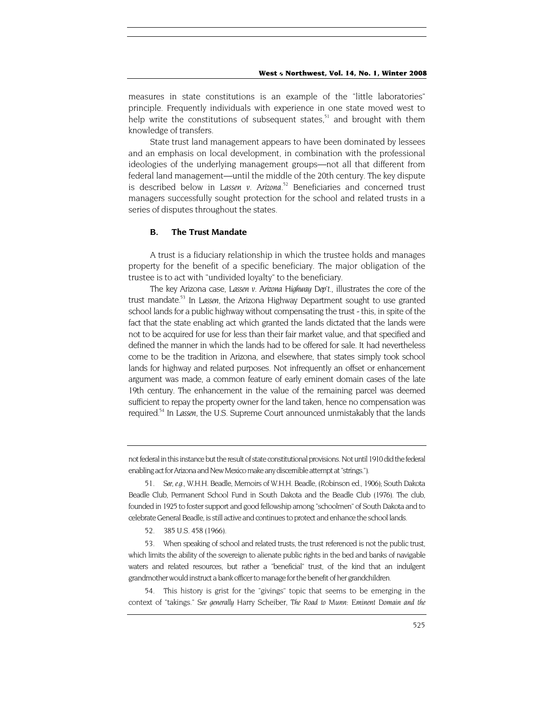<span id="page-17-3"></span>measures in state constitutions is an example of the "little laboratories" principle. Frequently individuals with experience in one state moved west to help write the constitutions of subsequent states, $51$  and brought with them knowledge of transfers.

State trust land management appears to have been dominated by lessees and an emphasis on local development, in combination with the professional ideologies of the underlying management groups—not all that different from federal land management—until the middle of the 20th century. The key dispute is described below in *Lassen v. Arizona*. [52](#page-17-1) Beneficiaries and concerned trust managers successfully sought protection for the school and related trusts in a series of disputes throughout the states.

## **B. The Trust Mandate**

A trust is a fiduciary relationship in which the trustee holds and manages property for the benefit of a specific beneficiary. The major obligation of the trustee is to act with "undivided loyalty" to the beneficiary.

The key Arizona case, *Lassen v. Arizona Highway Dep't*., illustrates the core of the trust mandate.[53](#page-17-2) In *Lassen*, the Arizona Highway Department sought to use granted school lands for a public highway without compensating the trust - this, in spite of the fact that the state enabling act which granted the lands dictated that the lands were not to be acquired for use for less than their fair market value, and that specified and defined the manner in which the lands had to be offered for sale. It had nevertheless come to be the tradition in Arizona, and elsewhere, that states simply took school lands for highway and related purposes. Not infrequently an offset or enhancement argument was made, a common feature of early eminent domain cases of the late 19th century. The enhancement in the value of the remaining parcel was deemed sufficient to repay the property owner for the land taken, hence no compensation was required[.54](#page-17-3) In *Lassen*, the U.S. Supreme Court announced unmistakably that the lands

not federal in this instance but the result of state constitutional provisions. Not until 1910 did the federal enabling act for Arizona and New Mexico make any discernible attempt at "strings.").

<span id="page-17-0"></span>51*. See, e.g.,* W.H.H. Beadle, Memoirs of W.H.H. Beadle, (Robinson ed., 1906); South Dakota Beadle Club, Permanent School Fund in South Dakota and the Beadle Club (1976). The club, founded in 1925 to foster support and good fellowship among "schoolmen" of South Dakota and to celebrate General Beadle, is still active and continues to protect and enhance the school lands.

52. 385 U.S. 458 (1966).

<span id="page-17-2"></span><span id="page-17-1"></span>53. When speaking of school and related trusts, the trust referenced is not the public trust, which limits the ability of the sovereign to alienate public rights in the bed and banks of navigable waters and related resources, but rather a "beneficial" trust, of the kind that an indulgent grandmother would instruct a bank officer to manage for the benefit of her grandchildren.

54. This history is grist for the "givings" topic that seems to be emerging in the context of "takings." *See generally* Harry Scheiber, *The Road to Munn: Eminent Domain and the*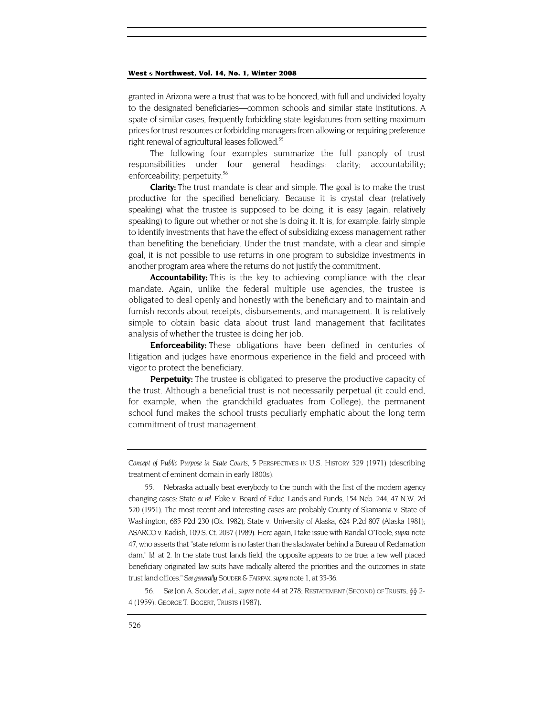granted in Arizona were a trust that was to be honored, with full and undivided loyalty to the designated beneficiaries—common schools and similar state institutions. A spate of similar cases, frequently forbidding state legislatures from setting maximum prices for trust resources or forbidding managers from allowing or requiring preference right renewal of agricultural leases followed.<sup>55</sup>

The following four examples summarize the full panoply of trust responsibilities under four general headings: clarity; accountability; enforceability; perpetuity.<sup>56</sup>

**Clarity:** The trust mandate is clear and simple. The goal is to make the trust productive for the specified beneficiary. Because it is crystal clear (relatively speaking) what the trustee is supposed to be doing, it is easy (again, relatively speaking) to figure out whether or not she is doing it. It is, for example, fairly simple to identify investments that have the effect of subsidizing excess management rather than benefiting the beneficiary. Under the trust mandate, with a clear and simple goal, it is not possible to use returns in one program to subsidize investments in another program area where the returns do not justify the commitment.

**Accountability:** This is the key to achieving compliance with the clear mandate. Again, unlike the federal multiple use agencies, the trustee is obligated to deal openly and honestly with the beneficiary and to maintain and furnish records about receipts, disbursements, and management. It is relatively simple to obtain basic data about trust land management that facilitates analysis of whether the trustee is doing her job.

**Enforceability:** These obligations have been defined in centuries of litigation and judges have enormous experience in the field and proceed with vigor to protect the beneficiary.

**Perpetuity:** The trustee is obligated to preserve the productive capacity of the trust. Although a beneficial trust is not necessarily perpetual (it could end, for example, when the grandchild graduates from College), the permanent school fund makes the school trusts peculiarly emphatic about the long term commitment of trust management.

<span id="page-18-1"></span>56*. See* Jon A. Souder, *et al., supra* note 44 at 278; RESTATEMENT (SECOND) OF TRUSTS, §§ 2- 4 (1959); GEORGE T. BOGERT, TRUSTS (1987).

*Concept of Public Purpose in State Courts*, 5 PERSPECTIVES IN U.S. HISTORY 329 (1971) (describing treatment of eminent domain in early 1800s).

<span id="page-18-0"></span><sup>55.</sup> Nebraska actually beat everybody to the punch with the first of the modern agency changing cases: State *ex rel.* Ebke v. Board of Educ. Lands and Funds, 154 Neb. 244, 47 N.W. 2d 520 (1951). The most recent and interesting cases are probably County of Skamania v. State of Washington, 685 P2d 230 (Ok. 1982); State v. University of Alaska, 624 P.2d 807 (Alaska 1981); ASARCO v. Kadish, 109 S. Ct. 2037 (1989). Here again, I take issue with Randal O'Toole, *supra* note 47, who asserts that "state reform is no faster than the slackwater behind a Bureau of Reclamation dam." *Id.* at 2. In the state trust lands field, the opposite appears to be true: a few well placed beneficiary originated law suits have radically altered the priorities and the outcomes in state trust land offices." *See generally* SOUDER & FAIRFAX, *supra* note 1, at 33-36.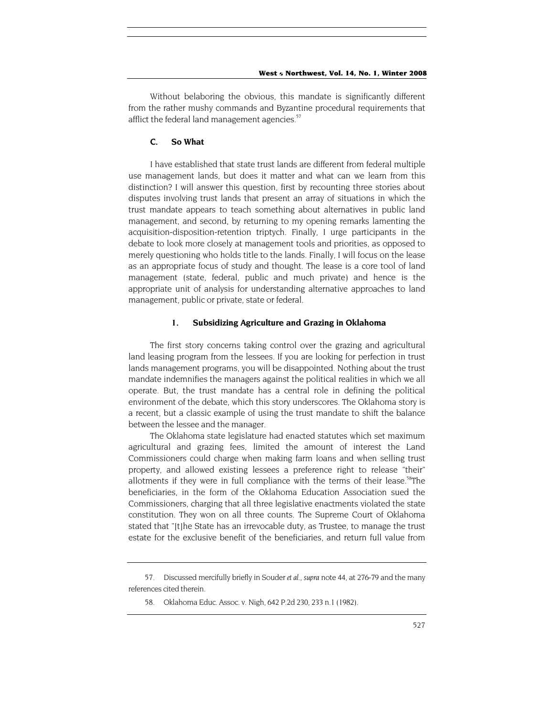Without belaboring the obvious, this mandate is significantly different from the rather mushy commands and Byzantine procedural requirements that afflict the federal land management agencies.<sup>57</sup>

## **C. So What**

I have established that state trust lands are different from federal multiple use management lands, but does it matter and what can we learn from this distinction? I will answer this question, first by recounting three stories about disputes involving trust lands that present an array of situations in which the trust mandate appears to teach something about alternatives in public land management, and second, by returning to my opening remarks lamenting the acquisition-disposition-retention triptych. Finally, I urge participants in the debate to look more closely at management tools and priorities, as opposed to merely questioning who holds title to the lands. Finally, I will focus on the lease as an appropriate focus of study and thought. The lease is a core tool of land management (state, federal, public and much private) and hence is the appropriate unit of analysis for understanding alternative approaches to land management, public or private, state or federal.

## **1. Subsidizing Agriculture and Grazing in Oklahoma**

The first story concerns taking control over the grazing and agricultural land leasing program from the lessees. If you are looking for perfection in trust lands management programs, you will be disappointed. Nothing about the trust mandate indemnifies the managers against the political realities in which we all operate. But, the trust mandate has a central role in defining the political environment of the debate, which this story underscores. The Oklahoma story is a recent, but a classic example of using the trust mandate to shift the balance between the lessee and the manager.

The Oklahoma state legislature had enacted statutes which set maximum agricultural and grazing fees, limited the amount of interest the Land Commissioners could charge when making farm loans and when selling trust property, and allowed existing lessees a preference right to release "their" allotments if they were in full compliance with the terms of their lease.<sup>58</sup>The beneficiaries, in the form of the Oklahoma Education Association sued the Commissioners, charging that all three legislative enactments violated the state constitution. They won on all three counts. The Supreme Court of Oklahoma stated that "[t]he State has an irrevocable duty, as Trustee, to manage the trust estate for the exclusive benefit of the beneficiaries, and return full value from

<span id="page-19-0"></span><sup>57.</sup> Discussed mercifully briefly in Souder *et al., supra* note 44, at 276-79 and the many references cited therein.

<span id="page-19-1"></span><sup>58.</sup> Oklahoma Educ. Assoc. v. Nigh, 642 P.2d 230, 233 n.1 (1982).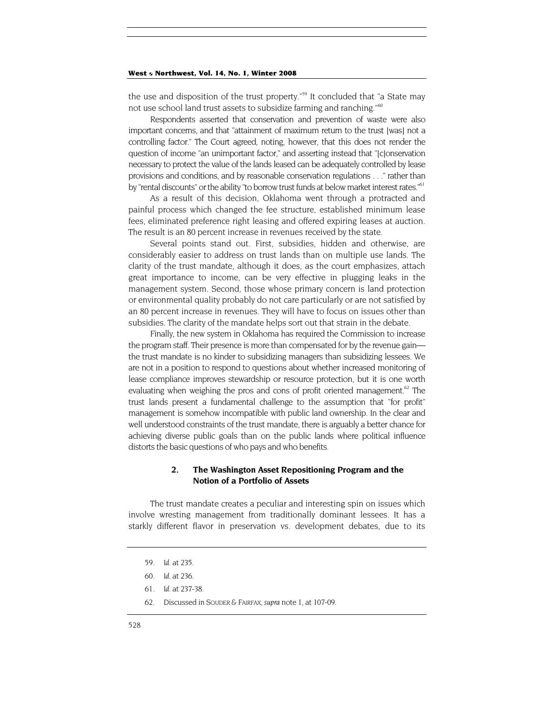the use and disposition of the trust property."<sup>59</sup> It concluded that "a State may not use school land trust assets to subsidize farming and ranching."<sup>[60](#page-20-1)</sup>

Respondents asserted that conservation and prevention of waste were also important concerns, and that "attainment of maximum return to the trust [was] not a controlling factor." The Court agreed, noting, however, that this does not render the question of income "an unimportant factor," and asserting instead that "[c]onservation necessary to protect the value of the lands leased can be adequately controlled by lease provisions and conditions, and by reasonable conservation regulations . . ." rather than by "rental discounts" or the ability "to borrow trust funds at below market interest rates."<sup>61</sup>

As a result of this decision, Oklahoma went through a protracted and painful process which changed the fee structure, established minimum lease fees, eliminated preference right leasing and offered expiring leases at auction. The result is an 80 percent increase in revenues received by the state.

Several points stand out. First, subsidies, hidden and otherwise, are considerably easier to address on trust lands than on multiple use lands. The clarity of the trust mandate, although it does, as the court emphasizes, attach great importance to income, can be very effective in plugging leaks in the management system. Second, those whose primary concern is land protection or environmental quality probably do not care particularly or are not satisfied by an 80 percent increase in revenues. They will have to focus on issues other than subsidies. The clarity of the mandate helps sort out that strain in the debate.

Finally, the new system in Oklahoma has required the Commission to increase the program staff. Their presence is more than compensated for by the revenue gain the trust mandate is no kinder to subsidizing managers than subsidizing lessees. We are not in a position to respond to questions about whether increased monitoring of lease compliance improves stewardship or resource protection, but it is one worth evaluating when weighing the pros and cons of profit oriented management.<sup>62</sup> The trust lands present a fundamental challenge to the assumption that "for profit" management is somehow incompatible with public land ownership. In the clear and well understood constraints of the trust mandate, there is arguably a better chance for achieving diverse public goals than on the public lands where political influence distorts the basic questions of who pays and who benefits.

## **2. The Washington Asset Repositioning Program and the Notion of a Portfolio of Assets**

The trust mandate creates a peculiar and interesting spin on issues which involve wresting management from traditionally dominant lessees. It has a starkly different flavor in preservation vs. development debates, due to its

<span id="page-20-3"></span>62. Discussed in SOUDER & FAIRFAX, *supra* note 1, at 107-09.

<span id="page-20-0"></span><sup>59</sup>*. Id.* at 235.

<span id="page-20-1"></span><sup>60</sup>*. Id.* at 236.

<span id="page-20-2"></span><sup>61</sup>*. Id.* at 237-38.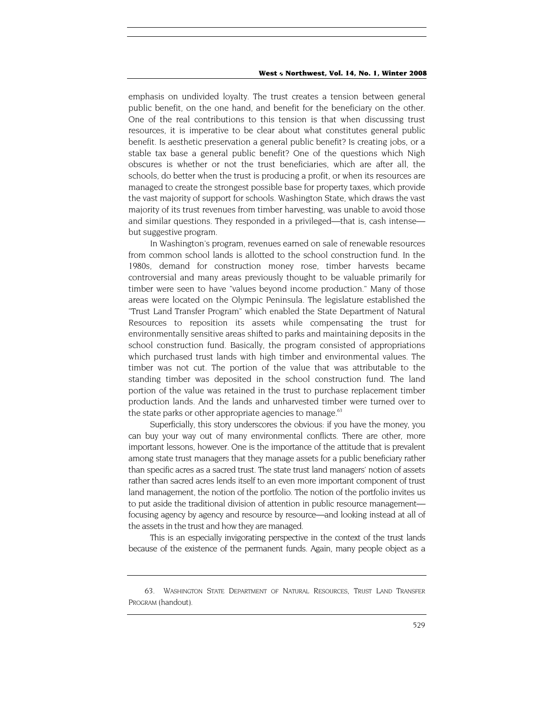emphasis on undivided loyalty. The trust creates a tension between general public benefit, on the one hand, and benefit for the beneficiary on the other. One of the real contributions to this tension is that when discussing trust resources, it is imperative to be clear about what constitutes general public benefit. Is aesthetic preservation a general public benefit? Is creating jobs, or a stable tax base a general public benefit? One of the questions which Nigh obscures is whether or not the trust beneficiaries, which are after all, the schools, do better when the trust is producing a profit, or when its resources are managed to create the strongest possible base for property taxes, which provide the vast majority of support for schools. Washington State, which draws the vast majority of its trust revenues from timber harvesting, was unable to avoid those and similar questions. They responded in a privileged—that is, cash intense but suggestive program.

In Washington's program, revenues earned on sale of renewable resources from common school lands is allotted to the school construction fund. In the 1980s, demand for construction money rose, timber harvests became controversial and many areas previously thought to be valuable primarily for timber were seen to have "values beyond income production." Many of those areas were located on the Olympic Peninsula. The legislature established the "Trust Land Transfer Program" which enabled the State Department of Natural Resources to reposition its assets while compensating the trust for environmentally sensitive areas shifted to parks and maintaining deposits in the school construction fund. Basically, the program consisted of appropriations which purchased trust lands with high timber and environmental values. The timber was not cut. The portion of the value that was attributable to the standing timber was deposited in the school construction fund. The land portion of the value was retained in the trust to purchase replacement timber production lands. And the lands and unharvested timber were turned over to the state parks or other appropriate agencies to manage. $63$ 

Superficially, this story underscores the obvious: if you have the money, you can buy your way out of many environmental conflicts. There are other, more important lessons, however. One is the importance of the attitude that is prevalent among state trust managers that they manage assets for a public beneficiary rather than specific acres as a sacred trust. The state trust land managers' notion of assets rather than sacred acres lends itself to an even more important component of trust land management, the notion of the portfolio. The notion of the portfolio invites us to put aside the traditional division of attention in public resource management focusing agency by agency and resource by resource—and looking instead at all of the assets in the trust and how they are managed.

This is an especially invigorating perspective in the context of the trust lands because of the existence of the permanent funds. Again, many people object as a

<span id="page-21-0"></span><sup>63.</sup> WASHINGTON STATE DEPARTMENT OF NATURAL RESOURCES, TRUST LAND TRANSFER PROGRAM (handout).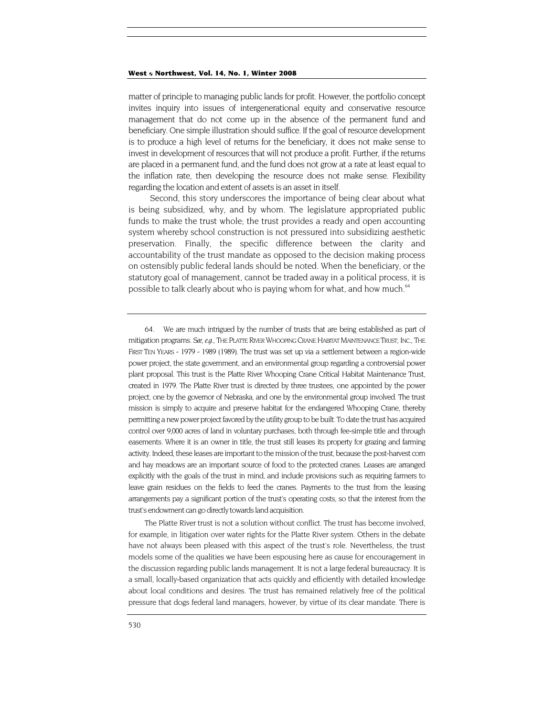<span id="page-22-0"></span>matter of principle to managing public lands for profit. However, the portfolio concept invites inquiry into issues of intergenerational equity and conservative resource management that do not come up in the absence of the permanent fund and beneficiary. One simple illustration should suffice. If the goal of resource development is to produce a high level of returns for the beneficiary, it does not make sense to invest in development of resources that will not produce a profit. Further, if the returns are placed in a permanent fund, and the fund does not grow at a rate at least equal to the inflation rate, then developing the resource does not make sense. Flexibility regarding the location and extent of assets is an asset in itself.

Second, this story underscores the importance of being clear about what is being subsidized, why, and by whom. The legislature appropriated public funds to make the trust whole; the trust provides a ready and open accounting system whereby school construction is not pressured into subsidizing aesthetic preservation. Finally, the specific difference between the clarity and accountability of the trust mandate as opposed to the decision making process on ostensibly public federal lands should be noted. When the beneficiary, or the statutory goal of management, cannot be traded away in a political process, it is possible to talk clearly about who is paying whom for what, and how much.<sup>[64](#page-22-0)</sup>

The Platte River trust is not a solution without conflict. The trust has become involved, for example, in litigation over water rights for the Platte River system. Others in the debate have not always been pleased with this aspect of the trust's role. Nevertheless, the trust models some of the qualities we have been espousing here as cause for encouragement in the discussion regarding public lands management. It is not a large federal bureaucracy. It is a small, locally-based organization that acts quickly and efficiently with detailed knowledge about local conditions and desires. The trust has remained relatively free of the political pressure that dogs federal land managers, however, by virtue of its clear mandate. There is

<sup>64.</sup> We are much intrigued by the number of trusts that are being established as part of mitigation programs. *See, e.g.,* THE PLATTE RIVER WHOOPING CRANE HABITAT MAINTENANCE TRUST, INC., THE FIRST TEN YEARS - 1979 - 1989 (1989). The trust was set up via a settlement between a region-wide power project, the state government, and an environmental group regarding a controversial power plant proposal. This trust is the Platte River Whooping Crane Critical Habitat Maintenance Trust, created in 1979. The Platte River trust is directed by three trustees, one appointed by the power project, one by the governor of Nebraska, and one by the environmental group involved. The trust mission is simply to acquire and preserve habitat for the endangered Whooping Crane, thereby permitting a new power project favored by the utility group to be built. To date the trust has acquired control over 9,000 acres of land in voluntary purchases, both through fee-simple title and through easements. Where it is an owner in title, the trust still leases its property for grazing and farming activity. Indeed, these leases are important to the mission of the trust, because the post-harvest corn and hay meadows are an important source of food to the protected cranes. Leases are arranged explicitly with the goals of the trust in mind, and include provisions such as requiring farmers to leave grain residues on the fields to feed the cranes. Payments to the trust from the leasing arrangements pay a significant portion of the trust's operating costs, so that the interest from the trust's endowment can go directly towards land acquisition.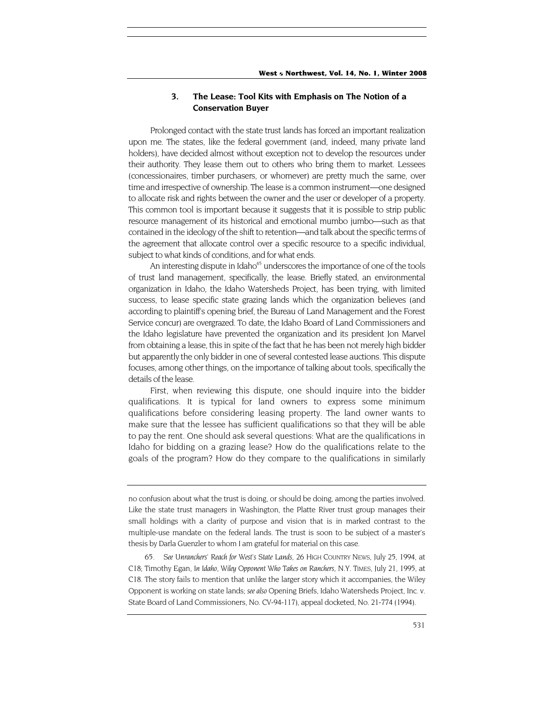## **3. The Lease: Tool Kits with Emphasis on The Notion of a Conservation Buyer**

Prolonged contact with the state trust lands has forced an important realization upon me. The states, like the federal government (and, indeed, many private land holders), have decided almost without exception not to develop the resources under their authority. They lease them out to others who bring them to market. Lessees (concessionaires, timber purchasers, or whomever) are pretty much the same, over time and irrespective of ownership. The lease is a common instrument—one designed to allocate risk and rights between the owner and the user or developer of a property. This common tool is important because it suggests that it is possible to strip public resource management of its historical and emotional mumbo jumbo—such as that contained in the ideology of the shift to retention—and talk about the specific terms of the agreement that allocate control over a specific resource to a specific individual, subject to what kinds of conditions, and for what ends.

An interesting dispute in Idaho<sup>65</sup> underscores the importance of one of the tools of trust land management, specifically, the lease. Briefly stated, an environmental organization in Idaho, the Idaho Watersheds Project, has been trying, with limited success, to lease specific state grazing lands which the organization believes (and according to plaintiff's opening brief, the Bureau of Land Management and the Forest Service concur) are overgrazed. To date, the Idaho Board of Land Commissioners and the Idaho legislature have prevented the organization and its president Jon Marvel from obtaining a lease, this in spite of the fact that he has been not merely high bidder but apparently the only bidder in one of several contested lease auctions. This dispute focuses, among other things, on the importance of talking about tools, specifically the details of the lease.

First, when reviewing this dispute, one should inquire into the bidder qualifications. It is typical for land owners to express some minimum qualifications before considering leasing property. The land owner wants to make sure that the lessee has sufficient qualifications so that they will be able to pay the rent. One should ask several questions: What are the qualifications in Idaho for bidding on a grazing lease? How do the qualifications relate to the goals of the program? How do they compare to the qualifications in similarly

no confusion about what the trust is doing, or should be doing, among the parties involved. Like the state trust managers in Washington, the Platte River trust group manages their small holdings with a clarity of purpose and vision that is in marked contrast to the multiple-use mandate on the federal lands. The trust is soon to be subject of a master's thesis by Darla Guenzler to whom I am grateful for material on this case.

<span id="page-23-0"></span><sup>65</sup>*. See Unranchers' Reach for West's State Lands*, 26 HIGH COUNTRY NEWS, July 25, 1994, at C18; Timothy Egan, *In Idaho, Wiley Opponent Who Takes on Ranchers*, N.Y. TIMES, July 21, 1995, at C18. The story fails to mention that unlike the larger story which it accompanies, the Wiley Opponent is working on state lands; *see also* Opening Briefs, Idaho Watersheds Project, Inc. v. State Board of Land Commissioners, No. CV-94-117), appeal docketed, No. 21-774 (1994).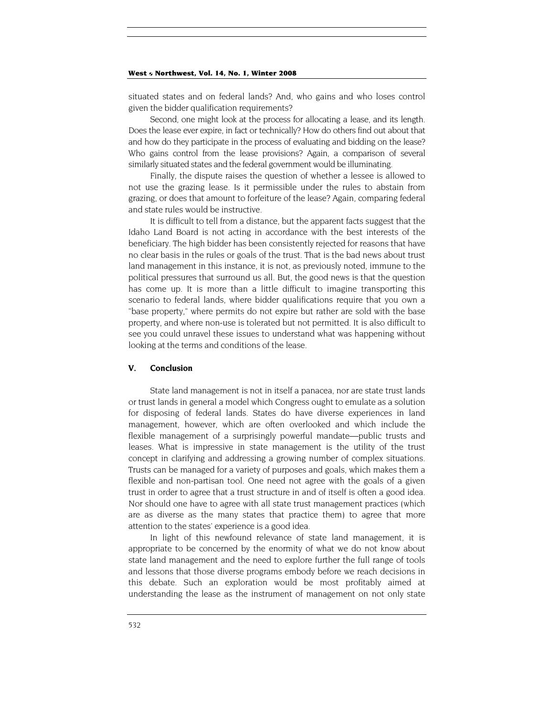situated states and on federal lands? And, who gains and who loses control given the bidder qualification requirements?

Second, one might look at the process for allocating a lease, and its length. Does the lease ever expire, in fact or technically? How do others find out about that and how do they participate in the process of evaluating and bidding on the lease? Who gains control from the lease provisions? Again, a comparison of several similarly situated states and the federal government would be illuminating.

Finally, the dispute raises the question of whether a lessee is allowed to not use the grazing lease. Is it permissible under the rules to abstain from grazing, or does that amount to forfeiture of the lease? Again, comparing federal and state rules would be instructive.

It is difficult to tell from a distance, but the apparent facts suggest that the Idaho Land Board is not acting in accordance with the best interests of the beneficiary. The high bidder has been consistently rejected for reasons that have no clear basis in the rules or goals of the trust. That is the bad news about trust land management in this instance, it is not, as previously noted, immune to the political pressures that surround us all. But, the good news is that the question has come up. It is more than a little difficult to imagine transporting this scenario to federal lands, where bidder qualifications require that you own a "base property," where permits do not expire but rather are sold with the base property, and where non-use is tolerated but not permitted. It is also difficult to see you could unravel these issues to understand what was happening without looking at the terms and conditions of the lease.

## **V. Conclusion**

State land management is not in itself a panacea, nor are state trust lands or trust lands in general a model which Congress ought to emulate as a solution for disposing of federal lands. States do have diverse experiences in land management, however, which are often overlooked and which include the flexible management of a surprisingly powerful mandate—public trusts and leases. What is impressive in state management is the utility of the trust concept in clarifying and addressing a growing number of complex situations. Trusts can be managed for a variety of purposes and goals, which makes them a flexible and non-partisan tool. One need not agree with the goals of a given trust in order to agree that a trust structure in and of itself is often a good idea. Nor should one have to agree with all state trust management practices (which are as diverse as the many states that practice them) to agree that more attention to the states' experience is a good idea.

In light of this newfound relevance of state land management, it is appropriate to be concerned by the enormity of what we do not know about state land management and the need to explore further the full range of tools and lessons that those diverse programs embody before we reach decisions in this debate. Such an exploration would be most profitably aimed at understanding the lease as the instrument of management on not only state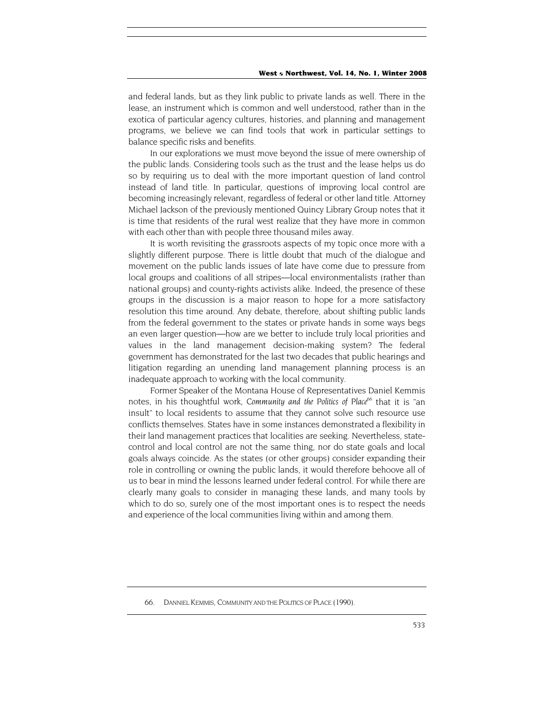and federal lands, but as they link public to private lands as well. There in the lease, an instrument which is common and well understood, rather than in the exotica of particular agency cultures, histories, and planning and management programs, we believe we can find tools that work in particular settings to balance specific risks and benefits.

In our explorations we must move beyond the issue of mere ownership of the public lands. Considering tools such as the trust and the lease helps us do so by requiring us to deal with the more important question of land control instead of land title. In particular, questions of improving local control are becoming increasingly relevant, regardless of federal or other land title. Attorney Michael Jackson of the previously mentioned Quincy Library Group notes that it is time that residents of the rural west realize that they have more in common with each other than with people three thousand miles away.

It is worth revisiting the grassroots aspects of my topic once more with a slightly different purpose. There is little doubt that much of the dialogue and movement on the public lands issues of late have come due to pressure from local groups and coalitions of all stripes—local environmentalists (rather than national groups) and county-rights activists alike. Indeed, the presence of these groups in the discussion is a major reason to hope for a more satisfactory resolution this time around. Any debate, therefore, about shifting public lands from the federal government to the states or private hands in some ways begs an even larger question—how are we better to include truly local priorities and values in the land management decision-making system? The federal government has demonstrated for the last two decades that public hearings and litigation regarding an unending land management planning process is an inadequate approach to working with the local community.

Former Speaker of the Montana House of Representatives Daniel Kemmis notes, in his thoughtful work, *Community and the Politics of Place<sup>[66](#page-25-0)</sup>* that it is "an insult" to local residents to assume that they cannot solve such resource use conflicts themselves. States have in some instances demonstrated a flexibility in their land management practices that localities are seeking. Nevertheless, statecontrol and local control are not the same thing, nor do state goals and local goals always coincide. As the states (or other groups) consider expanding their role in controlling or owning the public lands, it would therefore behoove all of us to bear in mind the lessons learned under federal control. For while there are clearly many goals to consider in managing these lands, and many tools by which to do so, surely one of the most important ones is to respect the needs and experience of the local communities living within and among them.

<span id="page-25-0"></span><sup>66.</sup> DANNIEL KEMMIS, COMMUNITY AND THE POLITICS OF PLACE (1990).